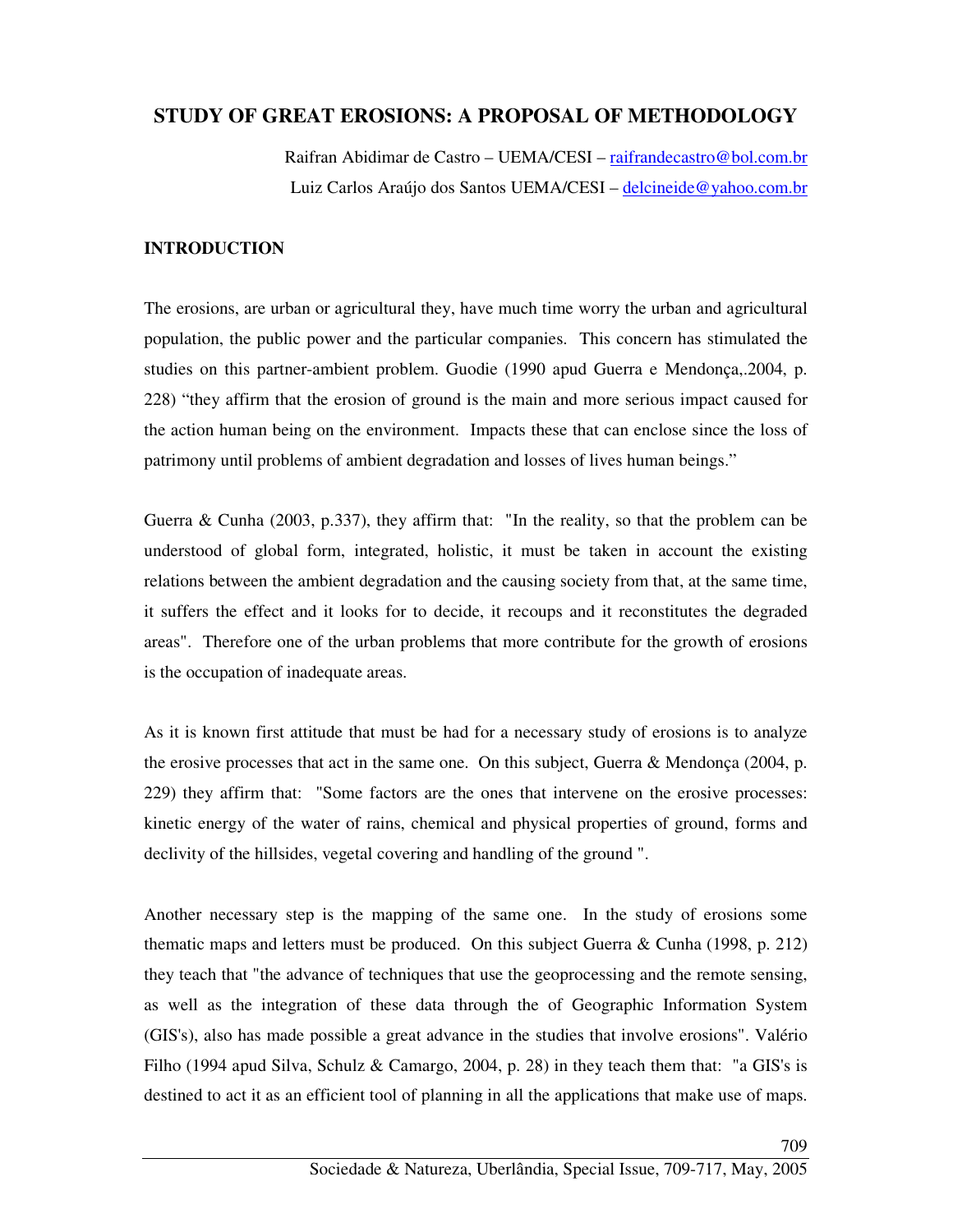# **STUDY OF GREAT EROSIONS: A PROPOSAL OF METHODOLOGY**

Raifran Abidimar de Castro – UEMA/CESI – raifrandecastro@bol.com.br Luiz Carlos Araújo dos Santos UEMA/CESI – delcineide@yahoo.com.br

## **INTRODUCTION**

The erosions, are urban or agricultural they, have much time worry the urban and agricultural population, the public power and the particular companies. This concern has stimulated the studies on this partner-ambient problem. Guodie (1990 apud Guerra e Mendonça,.2004, p. 228) "they affirm that the erosion of ground is the main and more serious impact caused for the action human being on the environment. Impacts these that can enclose since the loss of patrimony until problems of ambient degradation and losses of lives human beings."

Guerra & Cunha (2003, p.337), they affirm that: "In the reality, so that the problem can be understood of global form, integrated, holistic, it must be taken in account the existing relations between the ambient degradation and the causing society from that, at the same time, it suffers the effect and it looks for to decide, it recoups and it reconstitutes the degraded areas". Therefore one of the urban problems that more contribute for the growth of erosions is the occupation of inadequate areas.

As it is known first attitude that must be had for a necessary study of erosions is to analyze the erosive processes that act in the same one. On this subject, Guerra & Mendonça (2004, p. 229) they affirm that: "Some factors are the ones that intervene on the erosive processes: kinetic energy of the water of rains, chemical and physical properties of ground, forms and declivity of the hillsides, vegetal covering and handling of the ground ".

Another necessary step is the mapping of the same one. In the study of erosions some thematic maps and letters must be produced. On this subject Guerra & Cunha (1998, p. 212) they teach that "the advance of techniques that use the geoprocessing and the remote sensing, as well as the integration of these data through the of Geographic Information System (GIS's), also has made possible a great advance in the studies that involve erosions". Valério Filho (1994 apud Silva, Schulz & Camargo, 2004, p. 28) in they teach them that: "a GIS's is destined to act it as an efficient tool of planning in all the applications that make use of maps.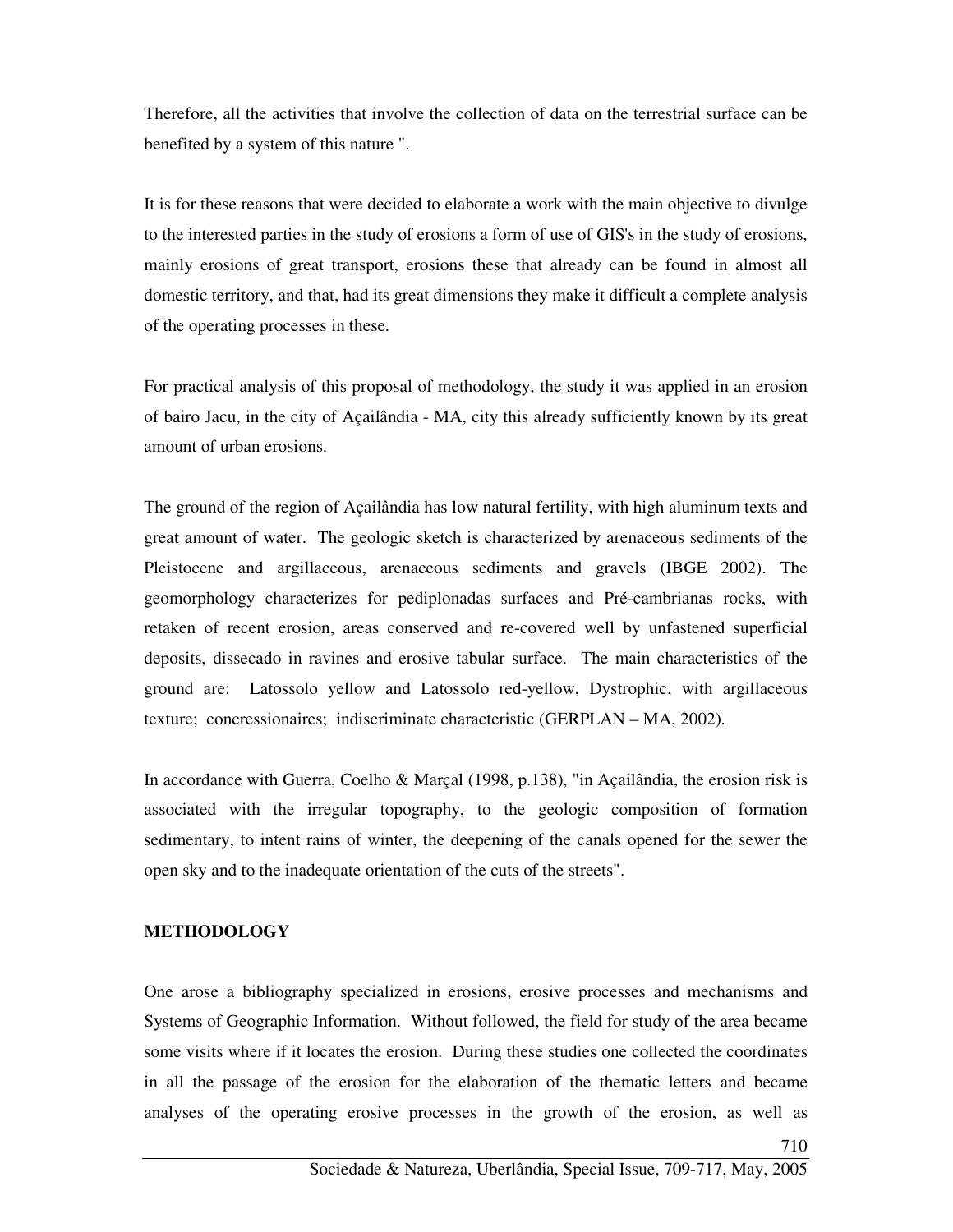Therefore, all the activities that involve the collection of data on the terrestrial surface can be benefited by a system of this nature ".

It is for these reasons that were decided to elaborate a work with the main objective to divulge to the interested parties in the study of erosions a form of use of GIS's in the study of erosions, mainly erosions of great transport, erosions these that already can be found in almost all domestic territory, and that, had its great dimensions they make it difficult a complete analysis of the operating processes in these.

For practical analysis of this proposal of methodology, the study it was applied in an erosion of bairo Jacu, in the city of Açailândia - MA, city this already sufficiently known by its great amount of urban erosions.

The ground of the region of Açailândia has low natural fertility, with high aluminum texts and great amount of water. The geologic sketch is characterized by arenaceous sediments of the Pleistocene and argillaceous, arenaceous sediments and gravels (IBGE 2002). The geomorphology characterizes for pediplonadas surfaces and Pré-cambrianas rocks, with retaken of recent erosion, areas conserved and re-covered well by unfastened superficial deposits, dissecado in ravines and erosive tabular surface. The main characteristics of the ground are: Latossolo yellow and Latossolo red-yellow, Dystrophic, with argillaceous texture; concressionaires; indiscriminate characteristic (GERPLAN – MA, 2002).

In accordance with Guerra, Coelho & Marçal (1998, p.138), "in Açailândia, the erosion risk is associated with the irregular topography, to the geologic composition of formation sedimentary, to intent rains of winter, the deepening of the canals opened for the sewer the open sky and to the inadequate orientation of the cuts of the streets".

#### **METHODOLOGY**

One arose a bibliography specialized in erosions, erosive processes and mechanisms and Systems of Geographic Information. Without followed, the field for study of the area became some visits where if it locates the erosion. During these studies one collected the coordinates in all the passage of the erosion for the elaboration of the thematic letters and became analyses of the operating erosive processes in the growth of the erosion, as well as

710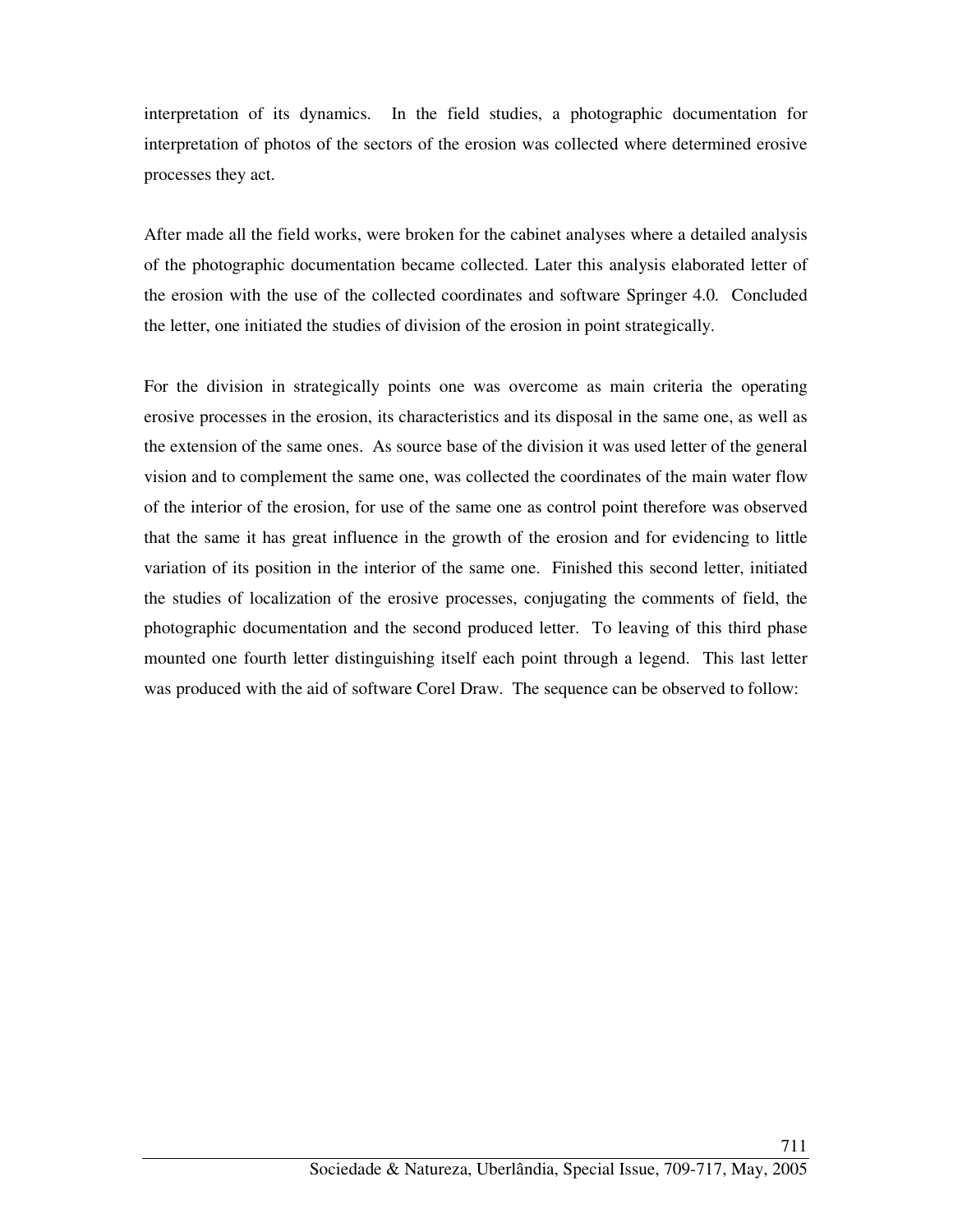interpretation of its dynamics. In the field studies, a photographic documentation for interpretation of photos of the sectors of the erosion was collected where determined erosive processes they act.

After made all the field works, were broken for the cabinet analyses where a detailed analysis of the photographic documentation became collected. Later this analysis elaborated letter of the erosion with the use of the collected coordinates and software Springer 4.0. Concluded the letter, one initiated the studies of division of the erosion in point strategically.

For the division in strategically points one was overcome as main criteria the operating erosive processes in the erosion, its characteristics and its disposal in the same one, as well as the extension of the same ones. As source base of the division it was used letter of the general vision and to complement the same one, was collected the coordinates of the main water flow of the interior of the erosion, for use of the same one as control point therefore was observed that the same it has great influence in the growth of the erosion and for evidencing to little variation of its position in the interior of the same one. Finished this second letter, initiated the studies of localization of the erosive processes, conjugating the comments of field, the photographic documentation and the second produced letter. To leaving of this third phase mounted one fourth letter distinguishing itself each point through a legend. This last letter was produced with the aid of software Corel Draw. The sequence can be observed to follow: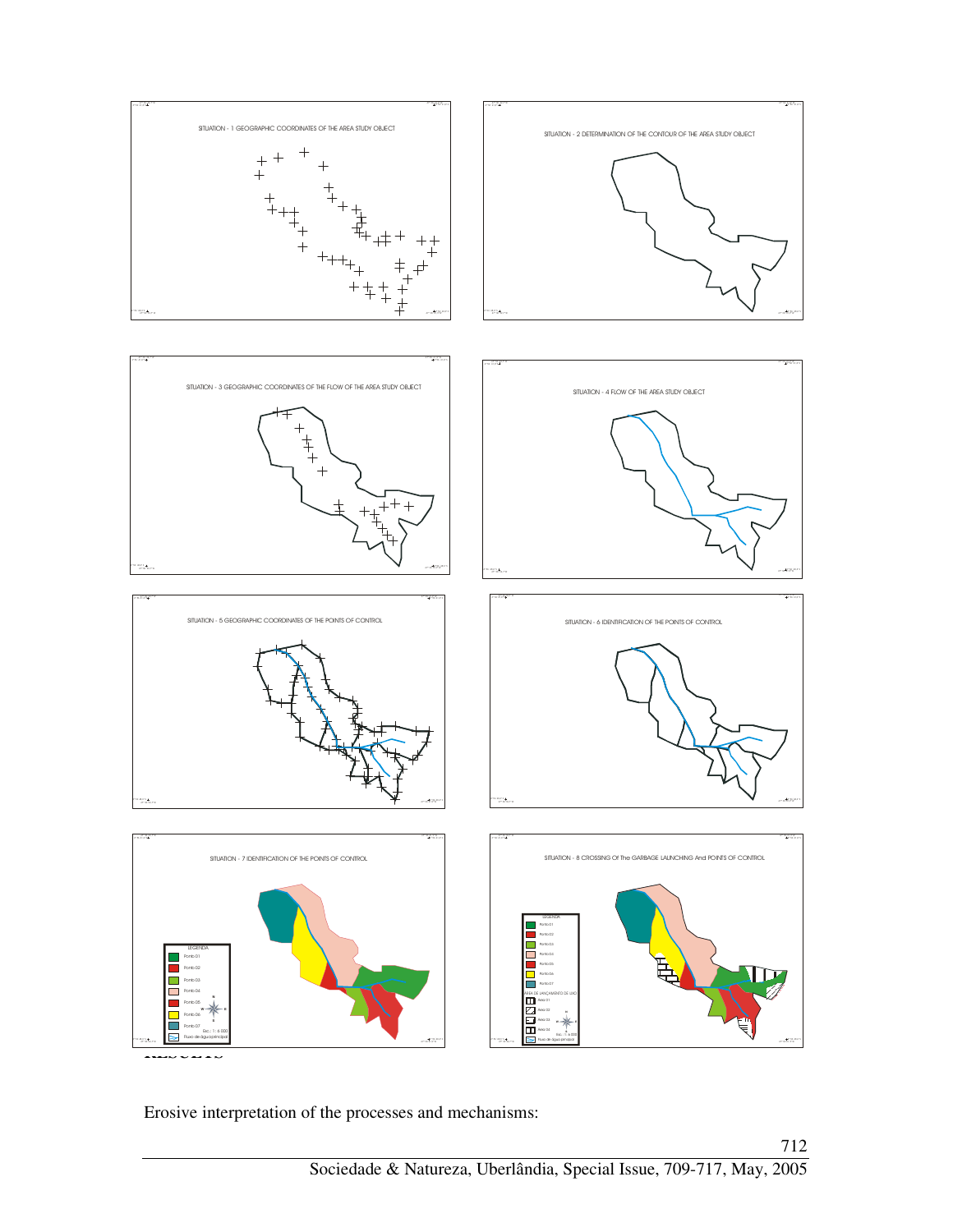

Erosive interpretation of the processes and mechanisms: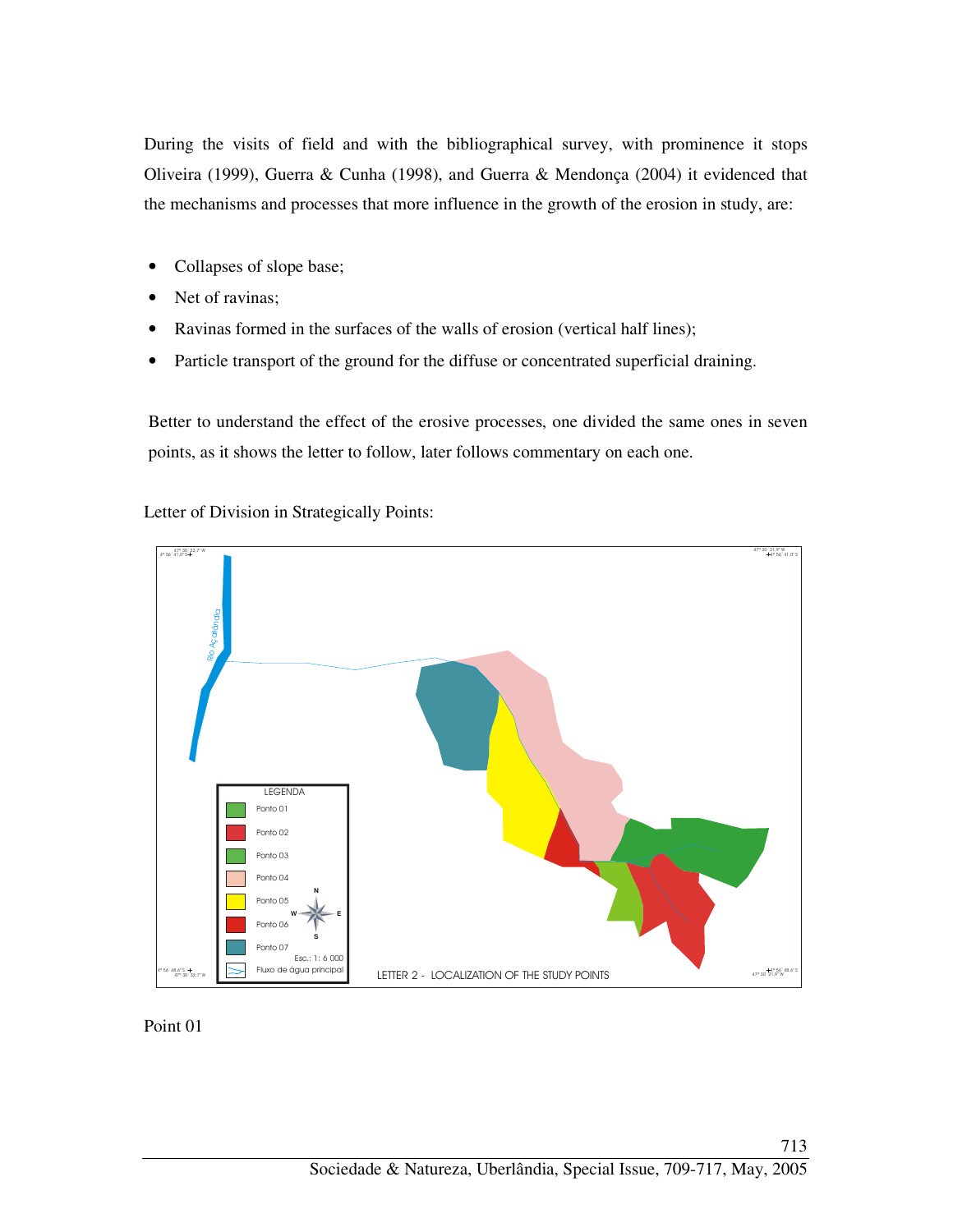During the visits of field and with the bibliographical survey, with prominence it stops Oliveira (1999), Guerra & Cunha (1998), and Guerra & Mendonça (2004) it evidenced that the mechanisms and processes that more influence in the growth of the erosion in study, are:

- Collapses of slope base;
- Net of ravinas;
- Ravinas formed in the surfaces of the walls of erosion (vertical half lines);
- Particle transport of the ground for the diffuse or concentrated superficial draining.

Better to understand the effect of the erosive processes, one divided the same ones in seven points, as it shows the letter to follow, later follows commentary on each one.

Letter of Division in Strategically Points:



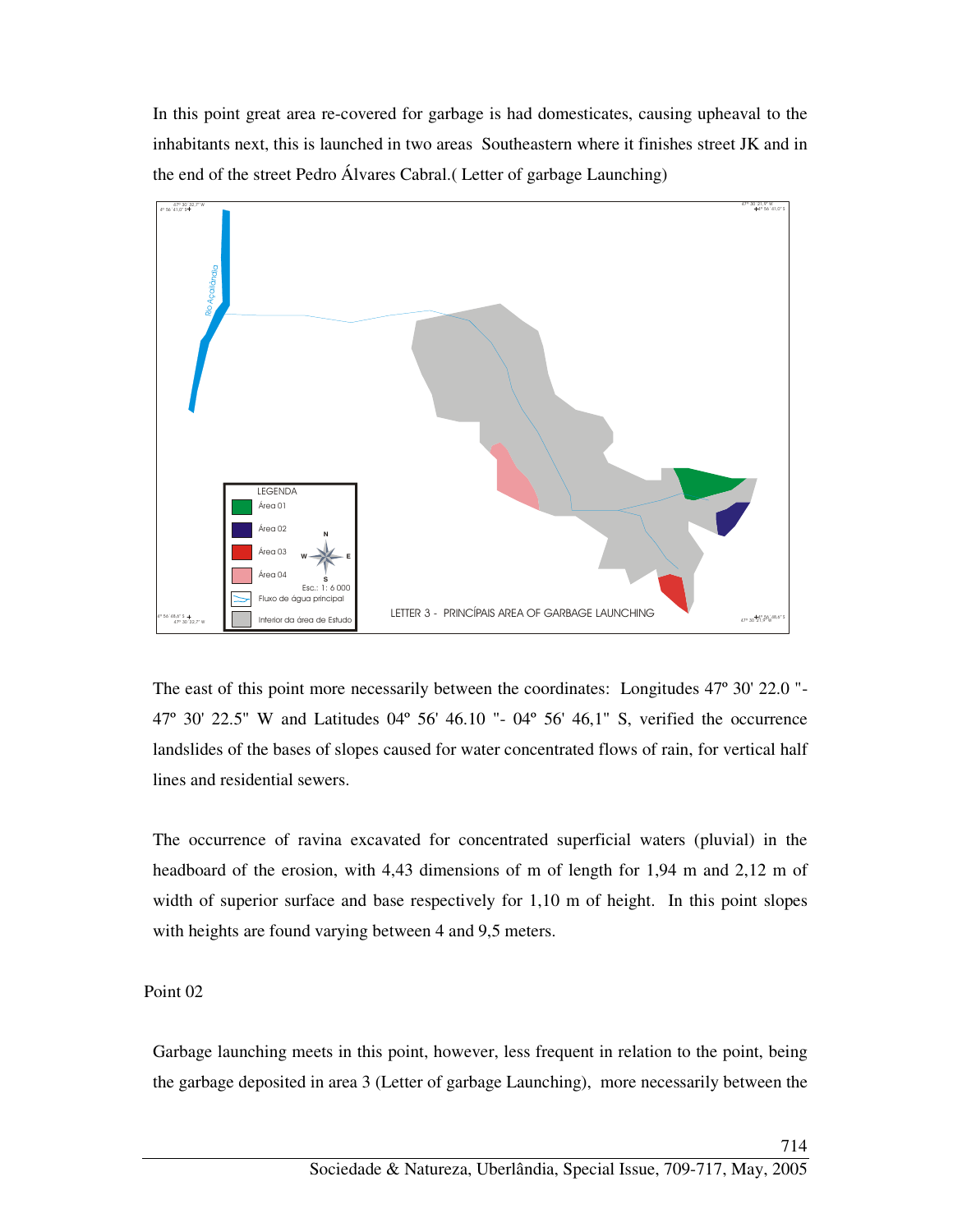In this point great area re-covered for garbage is had domesticates, causing upheaval to the inhabitants next, this is launched in two areas Southeastern where it finishes street JK and in the end of the street Pedro Álvares Cabral.( Letter of garbage Launching)



The east of this point more necessarily between the coordinates: Longitudes 47º 30' 22.0 "- 47º 30' 22.5" W and Latitudes 04º 56' 46.10 "- 04º 56' 46,1" S, verified the occurrence landslides of the bases of slopes caused for water concentrated flows of rain, for vertical half lines and residential sewers.

The occurrence of ravina excavated for concentrated superficial waters (pluvial) in the headboard of the erosion, with 4,43 dimensions of m of length for 1,94 m and 2,12 m of width of superior surface and base respectively for 1,10 m of height. In this point slopes with heights are found varying between 4 and 9,5 meters.

Point 02

Garbage launching meets in this point, however, less frequent in relation to the point, being the garbage deposited in area 3 (Letter of garbage Launching), more necessarily between the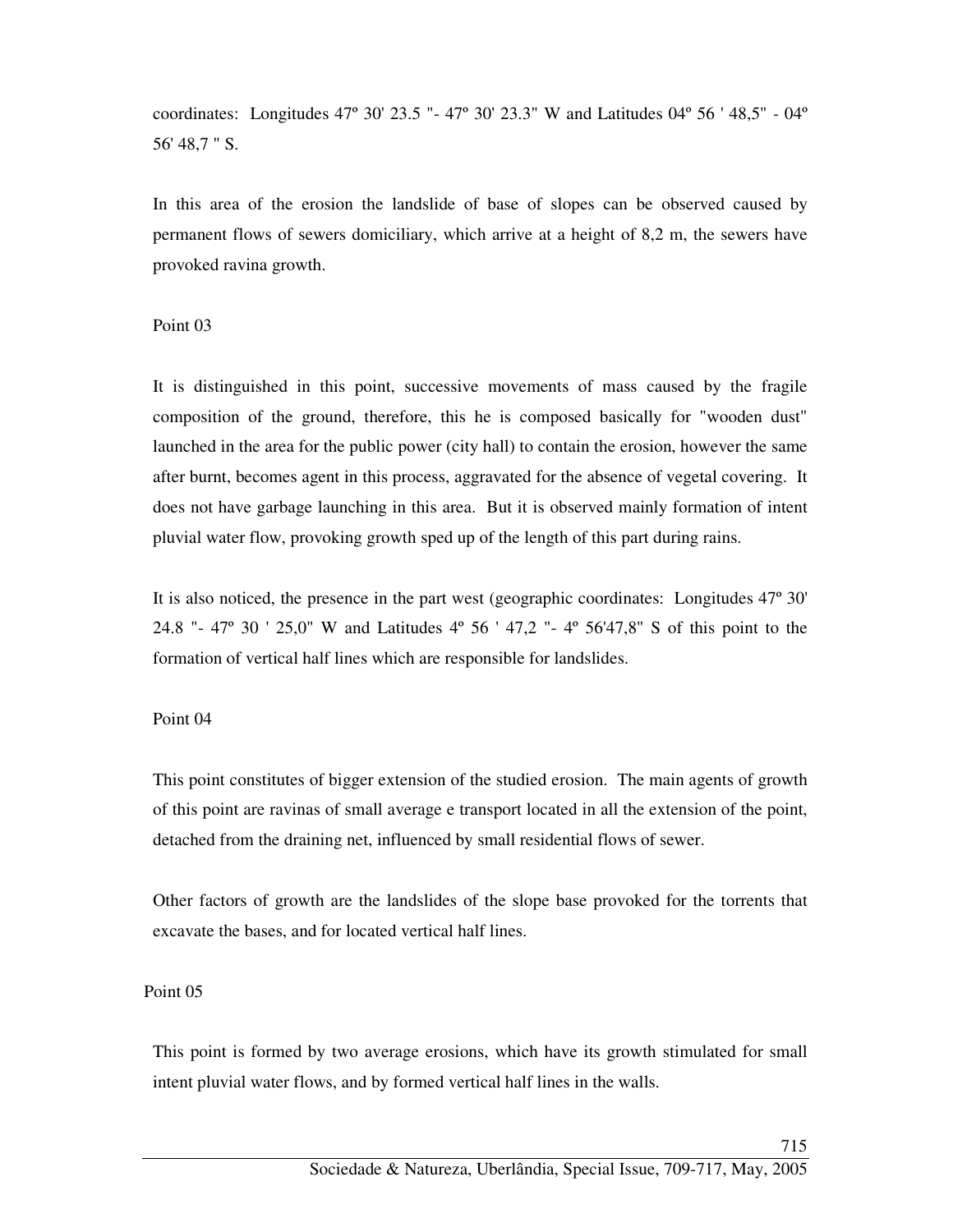coordinates: Longitudes 47º 30' 23.5 "- 47º 30' 23.3" W and Latitudes 04º 56 ' 48,5" - 04º 56' 48,7 " S.

In this area of the erosion the landslide of base of slopes can be observed caused by permanent flows of sewers domiciliary, which arrive at a height of 8,2 m, the sewers have provoked ravina growth.

Point 03

It is distinguished in this point, successive movements of mass caused by the fragile composition of the ground, therefore, this he is composed basically for "wooden dust" launched in the area for the public power (city hall) to contain the erosion, however the same after burnt, becomes agent in this process, aggravated for the absence of vegetal covering. It does not have garbage launching in this area. But it is observed mainly formation of intent pluvial water flow, provoking growth sped up of the length of this part during rains.

It is also noticed, the presence in the part west (geographic coordinates: Longitudes 47º 30' 24.8 "- 47º 30 ' 25,0" W and Latitudes 4º 56 ' 47,2 "- 4º 56'47,8" S of this point to the formation of vertical half lines which are responsible for landslides.

## Point 04

This point constitutes of bigger extension of the studied erosion. The main agents of growth of this point are ravinas of small average e transport located in all the extension of the point, detached from the draining net, influenced by small residential flows of sewer.

Other factors of growth are the landslides of the slope base provoked for the torrents that excavate the bases, and for located vertical half lines.

## Point 05

This point is formed by two average erosions, which have its growth stimulated for small intent pluvial water flows, and by formed vertical half lines in the walls.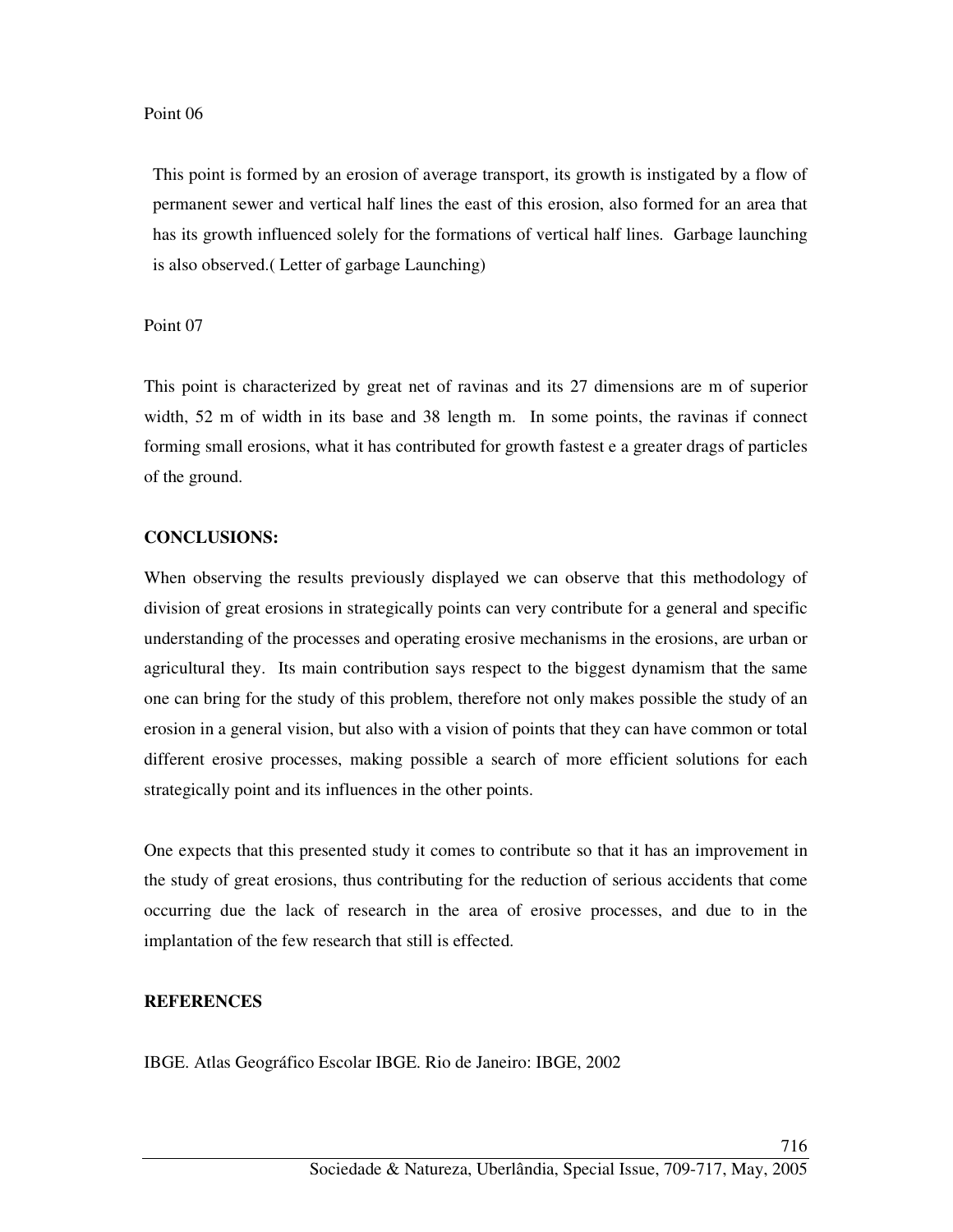#### Point 06

This point is formed by an erosion of average transport, its growth is instigated by a flow of permanent sewer and vertical half lines the east of this erosion, also formed for an area that has its growth influenced solely for the formations of vertical half lines. Garbage launching is also observed.( Letter of garbage Launching)

Point 07

This point is characterized by great net of ravinas and its 27 dimensions are m of superior width, 52 m of width in its base and 38 length m. In some points, the ravinas if connect forming small erosions, what it has contributed for growth fastest e a greater drags of particles of the ground.

## **CONCLUSIONS:**

When observing the results previously displayed we can observe that this methodology of division of great erosions in strategically points can very contribute for a general and specific understanding of the processes and operating erosive mechanisms in the erosions, are urban or agricultural they. Its main contribution says respect to the biggest dynamism that the same one can bring for the study of this problem, therefore not only makes possible the study of an erosion in a general vision, but also with a vision of points that they can have common or total different erosive processes, making possible a search of more efficient solutions for each strategically point and its influences in the other points.

One expects that this presented study it comes to contribute so that it has an improvement in the study of great erosions, thus contributing for the reduction of serious accidents that come occurring due the lack of research in the area of erosive processes, and due to in the implantation of the few research that still is effected.

## **REFERENCES**

IBGE. Atlas Geográfico Escolar IBGE. Rio de Janeiro: IBGE, 2002